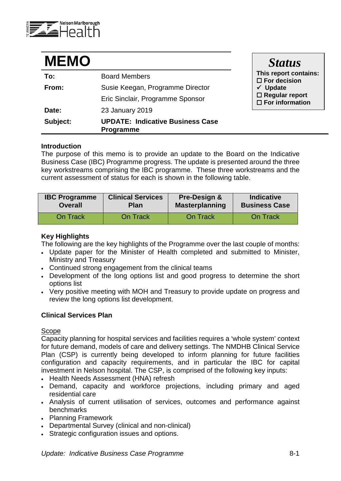

| <b>MEMO</b> |                                                             | <b>Status</b>                                                          |  |
|-------------|-------------------------------------------------------------|------------------------------------------------------------------------|--|
| To:         | <b>Board Members</b>                                        | This report contains:<br>$\square$ For decision<br>$\checkmark$ Update |  |
| From:       | Susie Keegan, Programme Director                            |                                                                        |  |
|             | Eric Sinclair, Programme Sponsor                            | $\square$ Regular report<br>$\square$ For information                  |  |
| Date:       | 23 January 2019                                             |                                                                        |  |
| Subject:    | <b>UPDATE: Indicative Business Case</b><br><b>Programme</b> |                                                                        |  |

#### **Introduction**

The purpose of this memo is to provide an update to the Board on the Indicative Business Case (IBC) Programme progress. The update is presented around the three key workstreams comprising the IBC programme. These three workstreams and the current assessment of status for each is shown in the following table.

| <b>IBC Programme</b> | <b>Clinical Services</b> | Pre-Design &          | <b>Indicative</b>    |
|----------------------|--------------------------|-----------------------|----------------------|
| <b>Overall</b>       | <b>Plan</b>              | <b>Masterplanning</b> | <b>Business Case</b> |
| On Track             | <b>On Track</b>          | On Track              | On Track             |

### **Key Highlights**

The following are the key highlights of the Programme over the last couple of months:

- Update paper for the Minister of Health completed and submitted to Minister, Ministry and Treasury
- Continued strong engagement from the clinical teams
- Development of the long options list and good progress to determine the short options list
- Very positive meeting with MOH and Treasury to provide update on progress and review the long options list development.

### **Clinical Services Plan**

### Scope

Capacity planning for hospital services and facilities requires a 'whole system' context for future demand, models of care and delivery settings. The NMDHB Clinical Service Plan (CSP) is currently being developed to inform planning for future facilities configuration and capacity requirements, and in particular the IBC for capital investment in Nelson hospital. The CSP, is comprised of the following key inputs:

- Health Needs Assessment (HNA) refresh
- Demand, capacity and workforce projections, including primary and aged residential care
- Analysis of current utilisation of services, outcomes and performance against benchmarks
- Planning Framework
- Departmental Survey (clinical and non-clinical)
- Strategic configuration issues and options.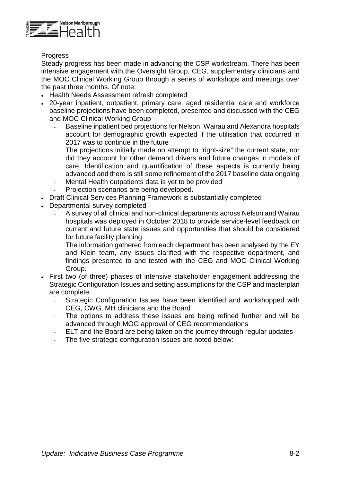

### **Progress**

Steady progress has been made in advancing the CSP workstream. There has been intensive engagement with the Oversight Group, CEG, supplementary clinicians and the MOC Clinical Working Group through a series of workshops and meetings over the past three months. Of note:

- Health Needs Assessment refresh completed
- 20-year inpatient, outpatient, primary care, aged residential care and workforce baseline projections have been completed, presented and discussed with the CEG and MOC Clinical Working Group
	- Baseline inpatient bed projections for Nelson, Wairau and Alexandra hospitals account for demographic growth expected if the utilisation that occurred in 2017 was to continue in the future
	- The projections initially made no attempt to "right-size" the current state, nor did they account for other demand drivers and future changes in models of care. Identification and quantification of these aspects is currently being advanced and there is still some refinement of the 2017 baseline data ongoing
	- Mental Health outpatients data is yet to be provided Projection scenarios are being developed.
- Draft Clinical Services Planning Framework is substantially completed
- Departmental survey completed
	- A survey of all clinical and non-clinical departments across Nelson and Wairau hospitals was deployed in October 2018 to provide service-level feedback on current and future state issues and opportunities that should be considered for future facility planning
	- The information gathered from each department has been analysed by the EY and Klein team, any issues clarified with the respective department, and findings presented to and tested with the CEG and MOC Clinical Working Group.
- First two (of three) phases of intensive stakeholder engagement addressing the Strategic Configuration Issues and setting assumptions for the CSP and masterplan are complete
	- Strategic Configuration Issues have been identified and workshopped with CEG, CWG, MH clinicians and the Board
	- The options to address these issues are being refined further and will be advanced through MOG approval of CEG recommendations
	- ELT and the Board are being taken on the journey through regular updates
	- The five strategic configuration issues are noted below: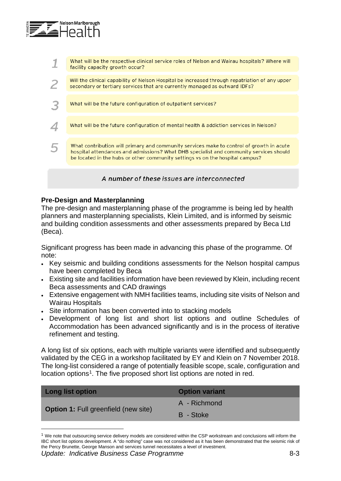

What will be the respective clinical service roles of Nelson and Wairau hospitals? Where will 1 facility capacity growth occur? Will the clinical capability of Nelson Hospital be increased through repatriation of any upper  $\overline{\phantom{a}}$ secondary or tertiary services that are currently managed as outward IDFs? 3 What will be the future configuration of outpatient services? What will be the future configuration of mental health & addiction services in Nelson?  $\Delta$ What contribution will primary and community services make to control of growth in acute 5 hospital attendances and admissions? What DHB specialist and community services should be located in the hubs or other community settings vs on the hospital campus? A number of these issues are interconnected

# **Pre-Design and Masterplanning**

The pre-design and masterplanning phase of the programme is being led by health planners and masterplanning specialists, Klein Limited, and is informed by seismic and building condition assessments and other assessments prepared by Beca Ltd (Beca).

Significant progress has been made in advancing this phase of the programme. Of note:

- Key seismic and building conditions assessments for the Nelson hospital campus have been completed by Beca
- Existing site and facilities information have been reviewed by Klein, including recent Beca assessments and CAD drawings
- Extensive engagement with NMH facilities teams, including site visits of Nelson and Wairau Hospitals
- Site information has been converted into to stacking models
- Development of long list and short list options and outline Schedules of Accommodation has been advanced significantly and is in the process of iterative refinement and testing.

A long list of six options, each with multiple variants were identified and subsequently validated by the CEG in a workshop facilitated by EY and Klein on 7 November 2018. The long-list considered a range of potentially feasible scope, scale, configuration and location options<sup>[1](#page-2-0)</sup>. The five proposed short list options are noted in red.

| Long list option                            | <b>Option variant</b> |
|---------------------------------------------|-----------------------|
|                                             | A - Richmond          |
| <b>Option 1:</b> Full greenfield (new site) | B - Stoke             |
|                                             |                       |

<span id="page-2-0"></span> $1$  We note that outsourcing service delivery models are considered within the CSP workstream and conclusions will inform the IBC short list options development. A "do nothing" case was not considered as it has been demonstrated that the seismic risk of the Percy Brunette, George Manson and services tunnel necessitates a level of investment.

 $\overline{a}$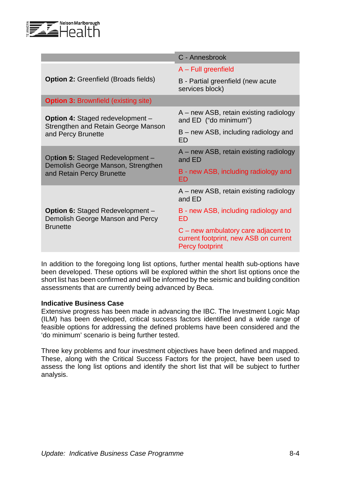

|                                                                             | C - Annesbrook                                                                                           |  |  |  |
|-----------------------------------------------------------------------------|----------------------------------------------------------------------------------------------------------|--|--|--|
|                                                                             | $A$ – Full greenfield                                                                                    |  |  |  |
| <b>Option 2: Greenfield (Broads fields)</b>                                 | B - Partial greenfield (new acute<br>services block)                                                     |  |  |  |
| <b>Option 3: Brownfield (existing site)</b>                                 |                                                                                                          |  |  |  |
| <b>Option 4: Staged redevelopment -</b>                                     | A – new ASB, retain existing radiology<br>and ED ("do minimum")                                          |  |  |  |
| Strengthen and Retain George Manson<br>and Percy Brunette                   | B – new ASB, including radiology and<br>ED                                                               |  |  |  |
| Option 5: Staged Redevelopment -<br>Demolish George Manson, Strengthen      | A – new ASB, retain existing radiology<br>and ED                                                         |  |  |  |
| and Retain Percy Brunette                                                   | B - new ASB, including radiology and<br><b>ED</b>                                                        |  |  |  |
|                                                                             | A – new ASB, retain existing radiology<br>and ED                                                         |  |  |  |
| <b>Option 6: Staged Redevelopment -</b><br>Demolish George Manson and Percy | B - new ASB, including radiology and<br>ED                                                               |  |  |  |
| <b>Brunette</b>                                                             | $C$ – new ambulatory care adjacent to<br>current footprint, new ASB on current<br><b>Percy footprint</b> |  |  |  |

In addition to the foregoing long list options, further mental health sub-options have been developed. These options will be explored within the short list options once the short list has been confirmed and will be informed by the seismic and building condition assessments that are currently being advanced by Beca.

### **Indicative Business Case**

Extensive progress has been made in advancing the IBC. The Investment Logic Map (ILM) has been developed, critical success factors identified and a wide range of feasible options for addressing the defined problems have been considered and the 'do minimum' scenario is being further tested.

Three key problems and four investment objectives have been defined and mapped. These, along with the Critical Success Factors for the project, have been used to assess the long list options and identify the short list that will be subject to further analysis.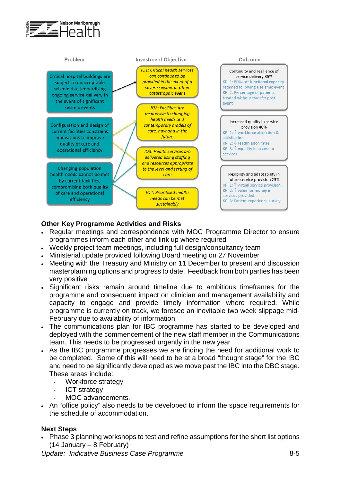



## **Other Key Programme Activities and Risks**

- Regular meetings and correspondence with MOC Programme Director to ensure programmes inform each other and link up where required
- Weekly project team meetings, including full design/consultancy team
- Ministerial update provided following Board meeting on 27 November
- Meeting with the Treasury and Ministry on 11 December to present and discussion masterplanning options and progress to date. Feedback from both parties has been very positive
- Significant risks remain around timeline due to ambitious timeframes for the programme and consequent impact on clinician and management availability and capacity to engage and provide timely information where required. While programme is currently on track, we foresee an inevitable two week slippage mid-February due to availability of information
- The communications plan for IBC programme has started to be developed and deployed with the commencement of the new staff member in the Communications team. This needs to be progressed urgently in the new year
- As the IBC programme progresses we are finding the need for additional work to be completed. Some of this will need to be at a broad "thought stage" for the IBC and need to be significantly developed as we move past the IBC into the DBC stage. These areas include:
	- Workforce strategy
	- **ICT** strategy
	- MOC advancements.
- An "office policy" also needs to be developed to inform the space requirements for the schedule of accommodation.

### **Next Steps**

• Phase 3 planning workshops to test and refine assumptions for the short list options (14 January – 8 February)

*Update: Indicative Business Case Programme* 8-5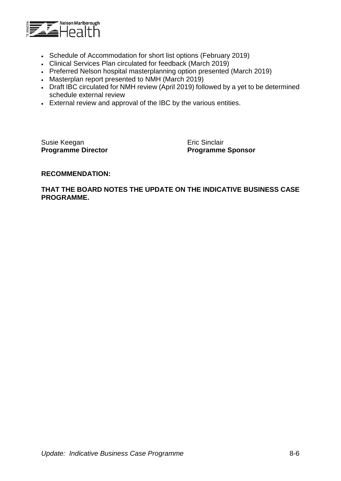

- Schedule of Accommodation for short list options (February 2019)
- Clinical Services Plan circulated for feedback (March 2019)
- Preferred Nelson hospital masterplanning option presented (March 2019)
- Masterplan report presented to NMH (March 2019)
- Draft IBC circulated for NMH review (April 2019) followed by a yet to be determined schedule external review
- External review and approval of the IBC by the various entities.

Susie Keegan **Existence** Eric Sinclair

**Programme Director Programme Sponsor** 

#### **RECOMMENDATION:**

#### **THAT THE BOARD NOTES THE UPDATE ON THE INDICATIVE BUSINESS CASE PROGRAMME.**